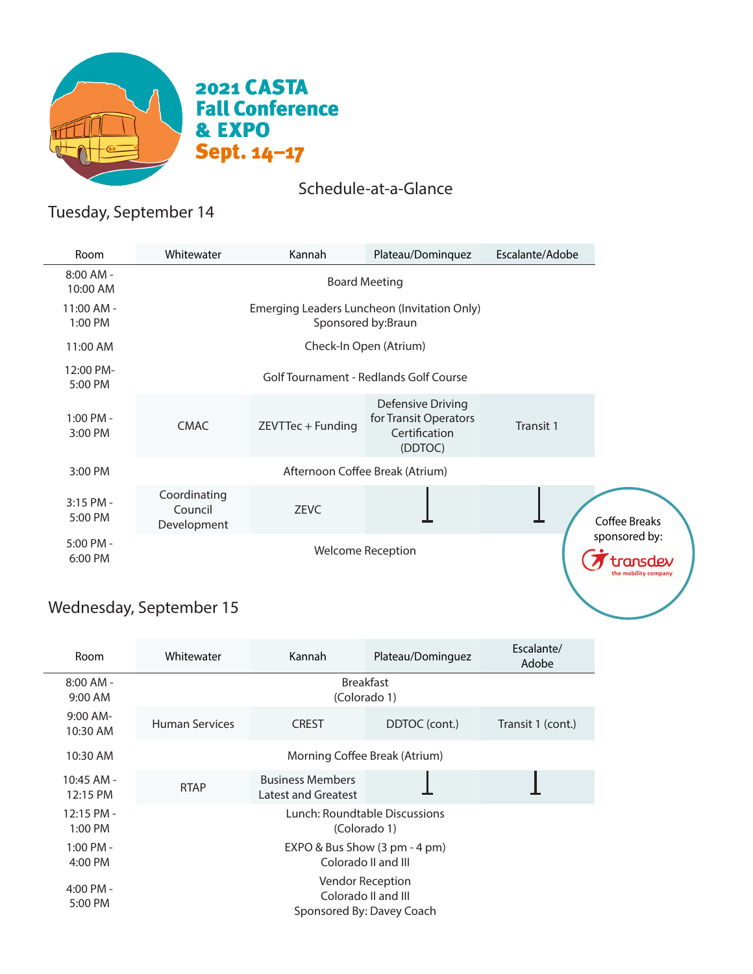

### Schedule-at-a-Glance

# Tuesday, September 14

| Room                    | Whitewater                                                        | Kannah            | Plateau/Dominquez                                                      | Escalante/Adobe |  |
|-------------------------|-------------------------------------------------------------------|-------------------|------------------------------------------------------------------------|-----------------|--|
| $8:00$ AM -<br>10:00 AM | <b>Board Meeting</b>                                              |                   |                                                                        |                 |  |
| 11:00 AM -<br>1:00 PM   | Emerging Leaders Luncheon (Invitation Only)<br>Sponsored by:Braun |                   |                                                                        |                 |  |
| 11:00 AM                | Check-In Open (Atrium)                                            |                   |                                                                        |                 |  |
| 12:00 PM-<br>5:00 PM    | Golf Tournament - Redlands Golf Course                            |                   |                                                                        |                 |  |
| 1:00 PM -<br>3:00 PM    | <b>CMAC</b>                                                       | ZEVTTec + Funding | Defensive Driving<br>for Transit Operators<br>Certification<br>(DDTOC) | Transit 1       |  |
| 3:00 PM                 | Afternoon Coffee Break (Atrium)                                   |                   |                                                                        |                 |  |
| $3:15$ PM -<br>5:00 PM  | Coordinating<br>Council<br>Development                            | <b>ZEVC</b>       |                                                                        |                 |  |
| 5:00 PM -<br>6:00 PM    | <b>Welcome Reception</b>                                          |                   |                                                                        | sponsored by:   |  |

## Wednesday, September 15

| Room                   | Whitewater                                                           | Kannah                                         | Plateau/Dominguez | Escalante/<br>Adobe |  |
|------------------------|----------------------------------------------------------------------|------------------------------------------------|-------------------|---------------------|--|
| $8:00$ AM -<br>9:00 AM |                                                                      |                                                |                   |                     |  |
| $9:00$ AM-<br>10:30 AM | <b>Human Services</b>                                                | <b>CREST</b>                                   | DDTOC (cont.)     | Transit 1 (cont.)   |  |
| 10:30 AM               | Morning Coffee Break (Atrium)                                        |                                                |                   |                     |  |
| 10:45 AM -<br>12:15 PM | <b>RTAP</b>                                                          | <b>Business Members</b><br>Latest and Greatest |                   |                     |  |
| 12:15 PM -<br>1:00 PM  | Lunch: Roundtable Discussions<br>(Colorado 1)                        |                                                |                   |                     |  |
| $1:00$ PM -<br>4:00 PM | EXPO & Bus Show (3 pm - 4 pm)<br>Colorado II and III                 |                                                |                   |                     |  |
| 4:00 PM -<br>5:00 PM   | Vendor Reception<br>Colorado II and III<br>Sponsored By: Davey Coach |                                                |                   |                     |  |